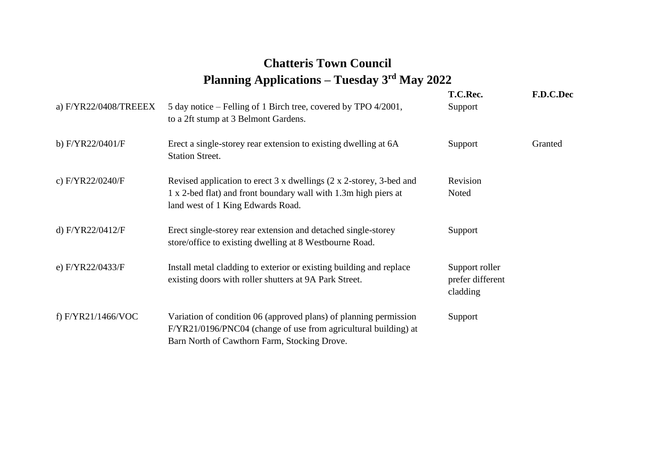## **Chatteris Town Council Planning Applications – Tuesday 3rd May 2022**

| a) F/YR22/0408/TREEEX | 5 day notice – Felling of 1 Birch tree, covered by TPO 4/2001,<br>to a 2ft stump at 3 Belmont Gardens.                                                                               | T.C.Rec.<br>Support                            | F.D.C.Dec |
|-----------------------|--------------------------------------------------------------------------------------------------------------------------------------------------------------------------------------|------------------------------------------------|-----------|
| b) F/YR22/0401/F      | Erect a single-storey rear extension to existing dwelling at 6A<br><b>Station Street.</b>                                                                                            | Support                                        | Granted   |
| c) F/YR22/0240/F      | Revised application to erect 3 x dwellings (2 x 2-storey, 3-bed and<br>1 x 2-bed flat) and front boundary wall with 1.3m high piers at<br>land west of 1 King Edwards Road.          | Revision<br>Noted                              |           |
| d) F/YR22/0412/F      | Erect single-storey rear extension and detached single-storey<br>store/office to existing dwelling at 8 Westbourne Road.                                                             | Support                                        |           |
| e) F/YR22/0433/F      | Install metal cladding to exterior or existing building and replace<br>existing doors with roller shutters at 9A Park Street.                                                        | Support roller<br>prefer different<br>cladding |           |
| f) F/YR21/1466/VOC    | Variation of condition 06 (approved plans) of planning permission<br>F/YR21/0196/PNC04 (change of use from agricultural building) at<br>Barn North of Cawthorn Farm, Stocking Drove. | Support                                        |           |